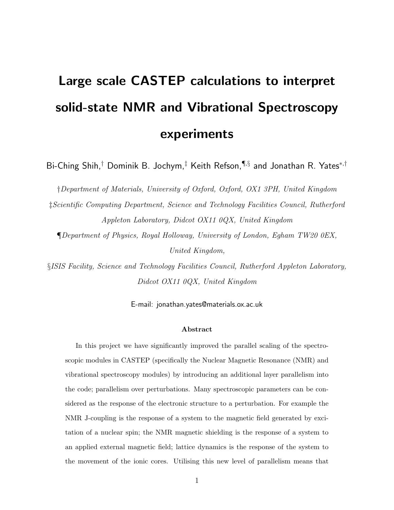# Large scale CASTEP calculations to interpret solid-state NMR and Vibrational Spectroscopy experiments

Bi-Ching Shih, $^\dagger$  Dominik B. Jochym, $^\ddagger$  Keith Refson, $\P^{\S}$  and Jonathan R. Yates $^{*,\dagger}$ 

†Department of Materials, University of Oxford, Oxford, OX1 3PH, United Kingdom

‡Scientific Computing Department, Science and Technology Facilities Council, Rutherford Appleton Laboratory, Didcot OX11 0QX, United Kingdom

¶Department of Physics, Royal Holloway, University of London, Egham TW20 0EX, United Kingdom,

§ISIS Facility, Science and Technology Facilities Council, Rutherford Appleton Laboratory, Didcot OX11 0QX, United Kingdom

E-mail: jonathan.yates@materials.ox.ac.uk

#### Abstract

In this project we have significantly improved the parallel scaling of the spectroscopic modules in CASTEP (specifically the Nuclear Magnetic Resonance (NMR) and vibrational spectroscopy modules) by introducing an additional layer parallelism into the code; parallelism over perturbations. Many spectroscopic parameters can be considered as the response of the electronic structure to a perturbation. For example the NMR J-coupling is the response of a system to the magnetic field generated by excitation of a nuclear spin; the NMR magnetic shielding is the response of a system to an applied external magnetic field; lattice dynamics is the response of the system to the movement of the ionic cores. Utilising this new level of parallelism means that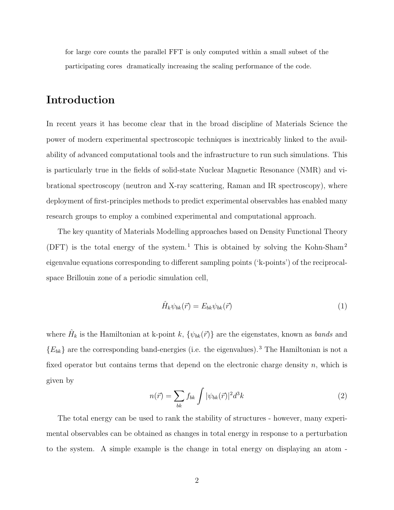for large core counts the parallel FFT is only computed within a small subset of the participating cores dramatically increasing the scaling performance of the code.

## Introduction

In recent years it has become clear that in the broad discipline of Materials Science the power of modern experimental spectroscopic techniques is inextricably linked to the availability of advanced computational tools and the infrastructure to run such simulations. This is particularly true in the fields of solid-state Nuclear Magnetic Resonance (NMR) and vibrational spectroscopy (neutron and X-ray scattering, Raman and IR spectroscopy), where deployment of first-principles methods to predict experimental observables has enabled many research groups to employ a combined experimental and computational approach.

The key quantity of Materials Modelling approaches based on Density Functional Theory (DFT) is the total energy of the system.<sup>1</sup> This is obtained by solving the Kohn-Sham<sup>2</sup> eigenvalue equations corresponding to different sampling points ('k-points') of the reciprocalspace Brillouin zone of a periodic simulation cell,

$$
\hat{H}_k \psi_{bk}(\vec{r}) = E_{bk} \psi_{bk}(\vec{r}) \tag{1}
$$

where  $\hat{H}_k$  is the Hamiltonian at k-point k,  $\{\psi_{bk}(\vec{r})\}$  are the eigenstates, known as *bands* and  ${E_{bk}}$  are the corresponding band-energies (i.e. the eigenvalues).<sup>3</sup> The Hamiltonian is not a fixed operator but contains terms that depend on the electronic charge density  $n$ , which is given by

$$
n(\vec{r}) = \sum_{bk} f_{bk} \int |\psi_{bk}(\vec{r})|^2 d^3k \tag{2}
$$

The total energy can be used to rank the stability of structures - however, many experimental observables can be obtained as changes in total energy in response to a perturbation to the system. A simple example is the change in total energy on displaying an atom -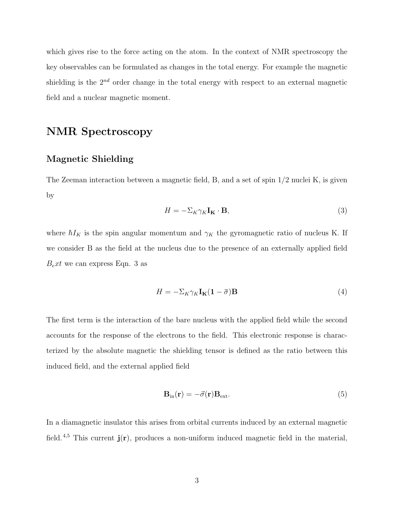which gives rise to the force acting on the atom. In the context of NMR spectroscopy the key observables can be formulated as changes in the total energy. For example the magnetic shielding is the  $2^{nd}$  order change in the total energy with respect to an external magnetic field and a nuclear magnetic moment.

# NMR Spectroscopy

#### Magnetic Shielding

The Zeeman interaction between a magnetic field, B, and a set of spin 1/2 nuclei K, is given by

$$
H = -\Sigma_K \gamma_K \mathbf{I}_K \cdot \mathbf{B},\tag{3}
$$

where  $\hbar I_K$  is the spin angular momentum and  $\gamma_K$  the gyromagnetic ratio of nucleus K. If we consider B as the field at the nucleus due to the presence of an externally applied field  $B_{e}xt$  we can express Eqn. 3 as

$$
H = -\Sigma_K \gamma_K \mathbf{I}_{\mathbf{K}} (1 - \bar{\sigma}) \mathbf{B}
$$
 (4)

The first term is the interaction of the bare nucleus with the applied field while the second accounts for the response of the electrons to the field. This electronic response is characterized by the absolute magnetic the shielding tensor is defined as the ratio between this induced field, and the external applied field

$$
\mathbf{B}_{\rm in}(\mathbf{r}) = -\vec{\sigma}(\mathbf{r})\mathbf{B}_{\rm ext}.\tag{5}
$$

In a diamagnetic insulator this arises from orbital currents induced by an external magnetic field.<sup>4,5</sup> This current  $\mathbf{j}(\mathbf{r})$ , produces a non-uniform induced magnetic field in the material,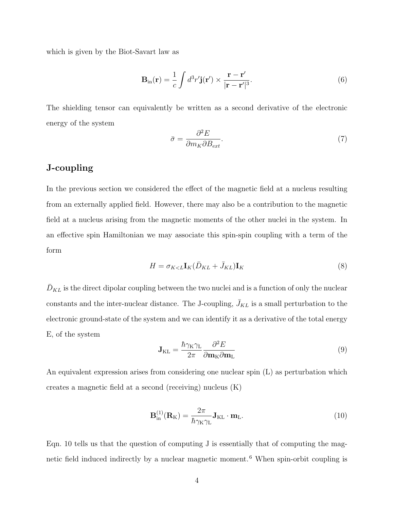which is given by the Biot-Savart law as

$$
\mathbf{B}_{\rm in}(\mathbf{r}) = \frac{1}{c} \int d^3 r' \mathbf{j}(\mathbf{r}') \times \frac{\mathbf{r} - \mathbf{r}'}{|\mathbf{r} - \mathbf{r}'|^3}.
$$
 (6)

The shielding tensor can equivalently be written as a second derivative of the electronic energy of the system

$$
\bar{\sigma} = \frac{\partial^2 E}{\partial m_K \partial B_{ext}}.\tag{7}
$$

#### J-coupling

In the previous section we considered the effect of the magnetic field at a nucleus resulting from an externally applied field. However, there may also be a contribution to the magnetic field at a nucleus arising from the magnetic moments of the other nuclei in the system. In an effective spin Hamiltonian we may associate this spin-spin coupling with a term of the form

$$
H = \sigma_{K < L} \mathbf{I}_K (\bar{D}_{KL} + \bar{J}_{KL}) \mathbf{I}_K \tag{8}
$$

 $\bar{D}_{KL}$  is the direct dipolar coupling between the two nuclei and is a function of only the nuclear constants and the inter-nuclear distance. The J-coupling,  $\bar{J}_{KL}$  is a small perturbation to the electronic ground-state of the system and we can identify it as a derivative of the total energy E, of the system

$$
\mathbf{J}_{\mathrm{KL}} = \frac{\hbar \gamma_{\mathrm{K}} \gamma_{\mathrm{L}}}{2\pi} \frac{\partial^2 E}{\partial \mathbf{m}_{\mathrm{K}} \partial \mathbf{m}_{\mathrm{L}}} \tag{9}
$$

An equivalent expression arises from considering one nuclear spin (L) as perturbation which creates a magnetic field at a second (receiving) nucleus (K)

$$
\mathbf{B}_{\rm in}^{(1)}(\mathbf{R}_{\rm K}) = \frac{2\pi}{\hbar \gamma_{\rm K} \gamma_{\rm L}} \mathbf{J}_{\rm KL} \cdot \mathbf{m}_{\rm L}.
$$
 (10)

Eqn. 10 tells us that the question of computing J is essentially that of computing the magnetic field induced indirectly by a nuclear magnetic moment. <sup>6</sup> When spin-orbit coupling is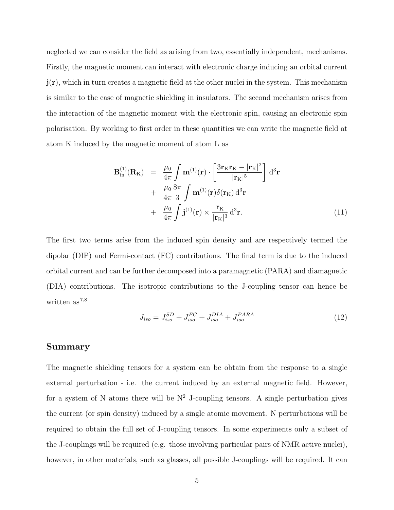neglected we can consider the field as arising from two, essentially independent, mechanisms. Firstly, the magnetic moment can interact with electronic charge inducing an orbital current  $\mathbf{j}(\mathbf{r})$ , which in turn creates a magnetic field at the other nuclei in the system. This mechanism is similar to the case of magnetic shielding in insulators. The second mechanism arises from the interaction of the magnetic moment with the electronic spin, causing an electronic spin polarisation. By working to first order in these quantities we can write the magnetic field at atom K induced by the magnetic moment of atom L as

$$
\mathbf{B}_{\rm in}^{(1)}(\mathbf{R}_{\rm K}) = \frac{\mu_0}{4\pi} \int \mathbf{m}^{(1)}(\mathbf{r}) \cdot \left[ \frac{3\mathbf{r}_{\rm K}\mathbf{r}_{\rm K} - |\mathbf{r}_{\rm K}|^2}{|\mathbf{r}_{\rm K}|^5} \right] d^3 \mathbf{r} + \frac{\mu_0}{4\pi} \frac{8\pi}{3} \int \mathbf{m}^{(1)}(\mathbf{r}) \delta(\mathbf{r}_{\rm K}) d^3 \mathbf{r} + \frac{\mu_0}{4\pi} \int \mathbf{j}^{(1)}(\mathbf{r}) \times \frac{\mathbf{r}_{\rm K}}{|\mathbf{r}_{\rm K}|^3} d^3 \mathbf{r}.
$$
 (11)

The first two terms arise from the induced spin density and are respectively termed the dipolar (DIP) and Fermi-contact (FC) contributions. The final term is due to the induced orbital current and can be further decomposed into a paramagnetic (PARA) and diamagnetic (DIA) contributions. The isotropic contributions to the J-coupling tensor can hence be written as  $7,8$ 

$$
J_{iso} = J_{iso}^{SD} + J_{iso}^{FC} + J_{iso}^{DIA} + J_{iso}^{PARA}
$$
 (12)

#### Summary

The magnetic shielding tensors for a system can be obtain from the response to a single external perturbation - i.e. the current induced by an external magnetic field. However, for a system of N atoms there will be  $N^2$  J-coupling tensors. A single perturbation gives the current (or spin density) induced by a single atomic movement. N perturbations will be required to obtain the full set of J-coupling tensors. In some experiments only a subset of the J-couplings will be required (e.g. those involving particular pairs of NMR active nuclei), however, in other materials, such as glasses, all possible J-couplings will be required. It can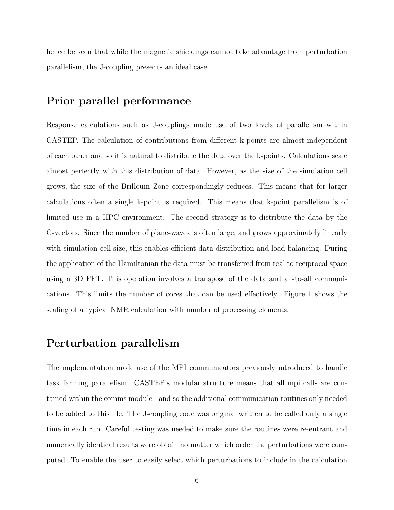hence be seen that while the magnetic shieldings cannot take advantage from perturbation parallelism, the J-coupling presents an ideal case.

## Prior parallel performance

Response calculations such as J-couplings made use of two levels of parallelism within CASTEP. The calculation of contributions from different k-points are almost independent of each other and so it is natural to distribute the data over the k-points. Calculations scale almost perfectly with this distribution of data. However, as the size of the simulation cell grows, the size of the Brillouin Zone correspondingly reduces. This means that for larger calculations often a single k-point is required. This means that k-point parallelism is of limited use in a HPC environment. The second strategy is to distribute the data by the G-vectors. Since the number of plane-waves is often large, and grows approximately linearly with simulation cell size, this enables efficient data distribution and load-balancing. During the application of the Hamiltonian the data must be transferred from real to reciprocal space using a 3D FFT. This operation involves a transpose of the data and all-to-all communications. This limits the number of cores that can be used effectively. Figure 1 shows the scaling of a typical NMR calculation with number of processing elements.

### Perturbation parallelism

The implementation made use of the MPI communicators previously introduced to handle task farming parallelism. CASTEP's modular structure means that all mpi calls are contained within the comms module - and so the additional communication routines only needed to be added to this file. The J-coupling code was original written to be called only a single time in each run. Careful testing was needed to make sure the routines were re-entrant and numerically identical results were obtain no matter which order the perturbations were computed. To enable the user to easily select which perturbations to include in the calculation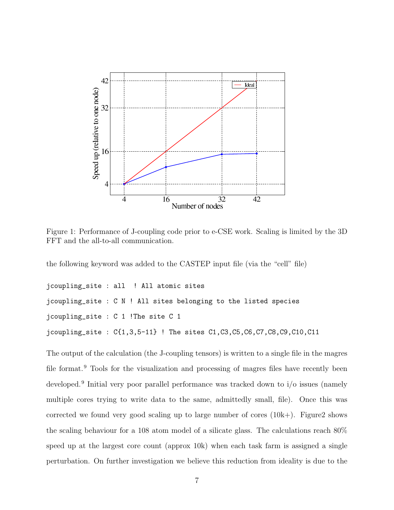

Figure 1: Performance of J-coupling code prior to e-CSE work. Scaling is limited by the 3D FFT and the all-to-all communication.

the following keyword was added to the CASTEP input file (via the "cell" file)

```
jcoupling_site : all ! All atomic sites
jcoupling_site : C N ! All sites belonging to the listed species
jcoupling_site : C 1 !The site C 1
jcoupling_site : C{1,3,5-11} ! The sites C1,C3,C5,C6,C7,C8,C9,C10,C11
```
The output of the calculation (the J-coupling tensors) is written to a single file in the magres file format.<sup>9</sup> Tools for the visualization and processing of magres files have recently been developed.<sup>9</sup> Initial very poor parallel performance was tracked down to i/o issues (namely multiple cores trying to write data to the same, admittedly small, file). Once this was corrected we found very good scaling up to large number of cores  $(10k+)$ . Figure 2 shows the scaling behaviour for a 108 atom model of a silicate glass. The calculations reach 80% speed up at the largest core count (approx 10k) when each task farm is assigned a single perturbation. On further investigation we believe this reduction from ideality is due to the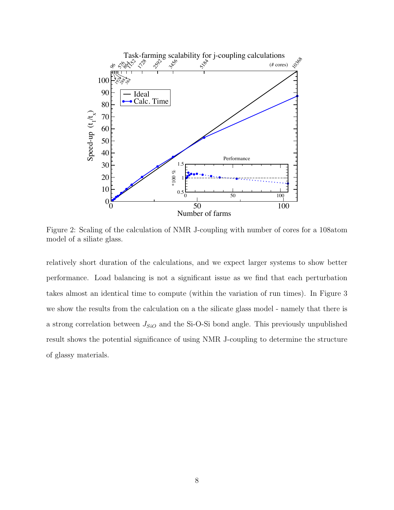

Figure 2: Scaling of the calculation of NMR J-coupling with number of cores for a 108atom model of a siliate glass.

relatively short duration of the calculations, and we expect larger systems to show better performance. Load balancing is not a significant issue as we find that each perturbation takes almost an identical time to compute (within the variation of run times). In Figure 3 we show the results from the calculation on a the silicate glass model - namely that there is a strong correlation between  $J<sub>SiO</sub>$  and the Si-O-Si bond angle. This previously unpublished result shows the potential significance of using NMR J-coupling to determine the structure of glassy materials.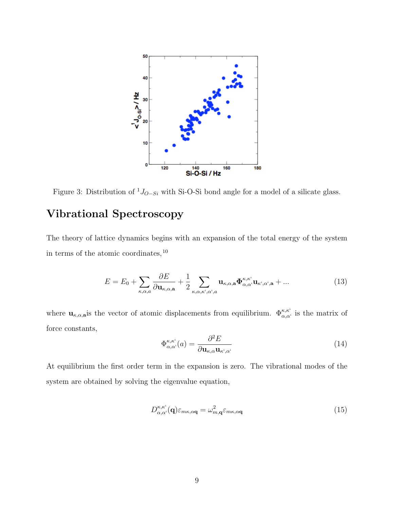

Figure 3: Distribution of  ${}^{1}J_{O-Si}$  with Si-O-Si bond angle for a model of a silicate glass.

# Vibrational Spectroscopy

The theory of lattice dynamics begins with an expansion of the total energy of the system in terms of the atomic coordinates, <sup>10</sup>

$$
E = E_0 + \sum_{\kappa,\alpha,a} \frac{\partial E}{\partial \mathbf{u}_{\kappa,\alpha,\mathbf{a}}} + \frac{1}{2} \sum_{\kappa,\alpha,\kappa',\alpha',a} \mathbf{u}_{\kappa,\alpha,\mathbf{a}} \Phi_{\alpha,\alpha'}^{\kappa,\kappa'} \mathbf{u}_{\kappa',\alpha',\mathbf{a}} + \dots
$$
 (13)

where  $\mathbf{u}_{\kappa,\alpha,\mathbf{a}}$  is the vector of atomic displacements from equilibrium.  $\Phi_{\alpha,\alpha'}^{\kappa,\kappa'}$  is the matrix of force constants,

$$
\Phi_{\alpha,\alpha^{\prime}}^{\kappa,\kappa^{\prime}}(a) = \frac{\partial^2 E}{\partial \mathbf{u}_{\kappa,\alpha} \mathbf{u}_{\kappa^{\prime},\alpha^{\prime}}} \tag{14}
$$

At equilibrium the first order term in the expansion is zero. The vibrational modes of the system are obtained by solving the eigenvalue equation,

$$
D_{\alpha,\alpha^{\prime}}^{\kappa,\kappa^{\prime}}(\mathbf{q})\varepsilon_{m\kappa,\alpha\mathbf{q}} = \omega_{m,\mathbf{q}}^{2}\varepsilon_{m\kappa,\alpha\mathbf{q}} \tag{15}
$$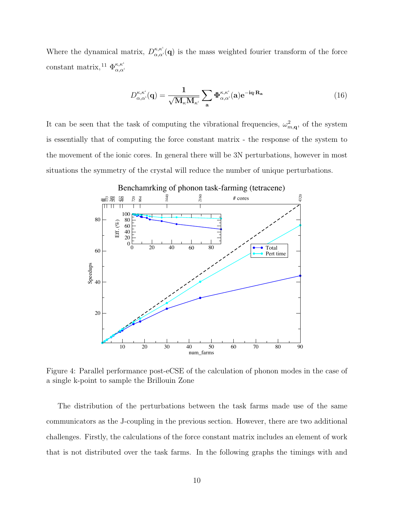Where the dynamical matrix,  $D_{\alpha}^{\kappa,\kappa^{\kappa}}$  $\alpha_{\alpha,\alpha'}^{k,\kappa}(\mathbf{q})$  is the mass weighted fourier transform of the force constant matrix, <sup>11</sup>  $\Phi_{\alpha \alpha}^{\kappa, \kappa^{\kappa}}$  $\alpha, \alpha'$ 

$$
D_{\alpha,\alpha'}^{\kappa,\kappa'}(\mathbf{q}) = \frac{1}{\sqrt{\mathbf{M}_{\kappa}\mathbf{M}_{\kappa'}}} \sum_{\mathbf{a}} \Phi_{\alpha,\alpha'}^{\kappa,\kappa'}(\mathbf{a}) e^{-i\mathbf{q} \cdot \mathbf{R}_{\mathbf{a}}} \tag{16}
$$

It can be seen that the task of computing the vibrational frequencies,  $\omega_{m,\mathbf{q}}^2$ , of the system is essentially that of computing the force constant matrix - the response of the system to the movement of the ionic cores. In general there will be 3N perturbations, however in most situations the symmetry of the crystal will reduce the number of unique perturbations.



Benchamrking of phonon task-farming (tetracene)

Figure 4: Parallel performance post-eCSE of the calculation of phonon modes in the case of a single k-point to sample the Brillouin Zone

The distribution of the perturbations between the task farms made use of the same communicators as the J-coupling in the previous section. However, there are two additional challenges. Firstly, the calculations of the force constant matrix includes an element of work that is not distributed over the task farms. In the following graphs the timings with and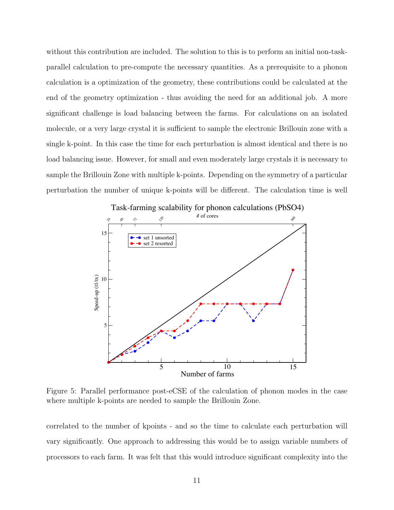without this contribution are included. The solution to this is to perform an initial non-taskparallel calculation to pre-compute the necessary quantities. As a prerequisite to a phonon calculation is a optimization of the geometry, these contributions could be calculated at the end of the geometry optimization - thus avoiding the need for an additional job. A more significant challenge is load balancing between the farms. For calculations on an isolated molecule, or a very large crystal it is sufficient to sample the electronic Brillouin zone with a single k-point. In this case the time for each perturbation is almost identical and there is no load balancing issue. However, for small and even moderately large crystals it is necessary to sample the Brillouin Zone with multiple k-points. Depending on the symmetry of a particular perturbation the number of unique k-points will be different. The calculation time is well



Task-farming scalability for phonon calculations (PbSO4)

Figure 5: Parallel performance post-eCSE of the calculation of phonon modes in the case where multiple k-points are needed to sample the Brillouin Zone.

correlated to the number of kpoints - and so the time to calculate each perturbation will vary significantly. One approach to addressing this would be to assign variable numbers of processors to each farm. It was felt that this would introduce significant complexity into the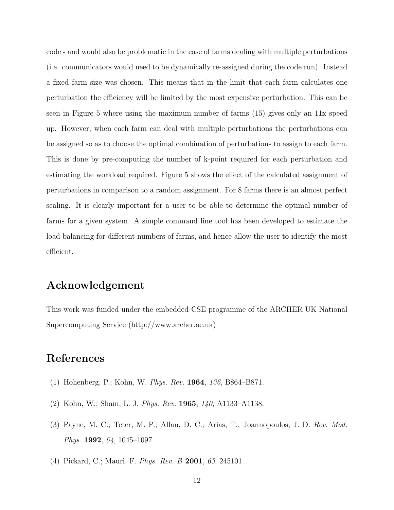code - and would also be problematic in the case of farms dealing with multiple perturbations (i.e. communicators would need to be dynamically re-assigned during the code run). Instead a fixed farm size was chosen. This means that in the limit that each farm calculates one perturbation the efficiency will be limited by the most expensive perturbation. This can be seen in Figure 5 where using the maximum number of farms (15) gives only an 11x speed up. However, when each farm can deal with multiple perturbations the perturbations can be assigned so as to choose the optimal combination of perturbations to assign to each farm. This is done by pre-computing the number of k-point required for each perturbation and estimating the workload required. Figure 5 shows the effect of the calculated assignment of perturbations in comparison to a random assignment. For 8 farms there is an almost perfect scaling. It is clearly important for a user to be able to determine the optimal number of farms for a given system. A simple command line tool has been developed to estimate the load balancing for different numbers of farms, and hence allow the user to identify the most efficient.

## Acknowledgement

This work was funded under the embedded CSE programme of the ARCHER UK National Supercomputing Service (http://www.archer.ac.uk)

## References

- (1) Hohenberg, P.; Kohn, W. Phys. Rev. 1964, 136, B864–B871.
- (2) Kohn, W.; Sham, L. J. Phys. Rev. 1965, 140, A1133–A1138.
- (3) Payne, M. C.; Teter, M. P.; Allan, D. C.; Arias, T.; Joannopoulos, J. D. Rev. Mod. Phys. **1992**, 64, 1045–1097.
- (4) Pickard, C.; Mauri, F. Phys. Rev. B 2001, 63, 245101.